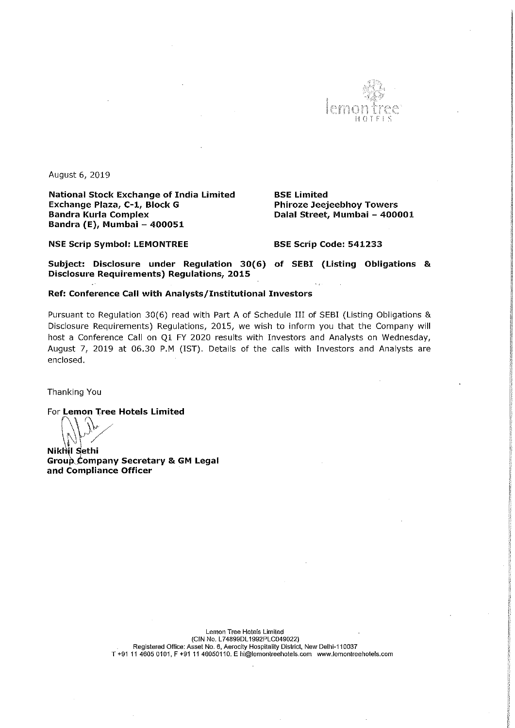

August 6, 2019

National Stock Exchange of India Limited BSE Limited<br>Exchange Plaza, C-1, Block G BR Phiroze Jeej Exchange Plaza, C-1, Block G Phiroze Jeejeebhoy Towers<br>Bandra Kurla Complex<br>Palal Street, Mumbai - 400 Bandra Kurla Complex Dalal Street, Mumbai — 400001 Bandra (E), Mumbai — 400051

NSE Scrip Symbol: LEMONTREE BSE Scrip Code: 541233

Subject: Disclosure under Regulation 30(6) of SEBI (Listing Obligations & Disclosure Requirements) Regulations, 2015

## Ref: Conference Call with Analysts/Institutional Investors

Pursuant to Regulation 30(6) read with Part <sup>A</sup> of Schedule III of SEBI (Listing Obligations & Disclosure Requirements) Regulations, 2015, we wish to inform you that the Company will host <sup>a</sup> Conference Call on Q1 FY 2020 results with Investors and Analysts on Wednesday, August 7, 2019 at 06.30 P.M (IST). Details of the calls with Investors and Analysts are enclosed.

Thanking You

For Lemon Tree Hotels Limited

**Nikhil Sethi** Group Company Secretary & GM Legal and Compliance Officer

> Lemon Tree Hotels Limited (GIN ND. L74899DL1992PLC049022) Registered Office: Asset No. 6, Aerocily Hospilality District. New Delhi-110037 T +91 <sup>11</sup> 4605 0101, <sup>F</sup> +91 <sup>11</sup> 46050110. E hi@lemonlreehotels.com wwaemonireeholelscom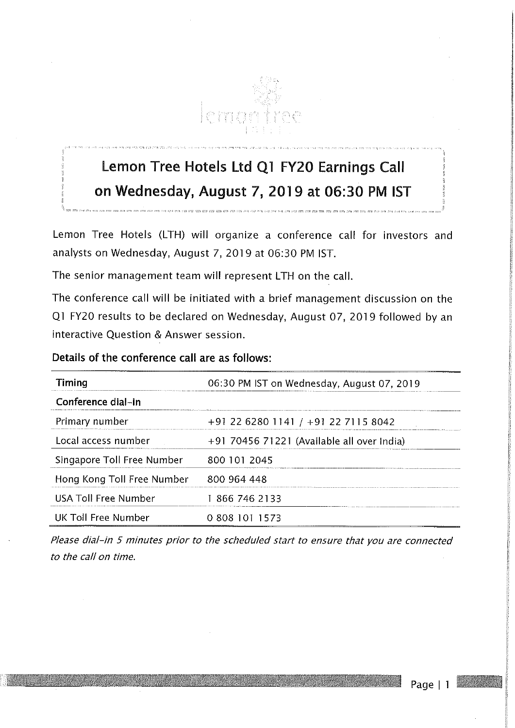

## Lemon Tree Hotels Ltd Qi FY20 Earnings Call on Wednesday, August 7, 2019 at 06:30 PM IST

Lemon Tree Hotels (LTH) will organize <sup>a</sup> conference call for investors and analysts on Wednesday, August 7, 2019 at 06:30 PM IST.

The senior management team will represent LTH on the call.

The conference call will be initiated with <sup>a</sup> brief management discussion on the Q1 FY20 results to be declared on Wednesday, August 07, 2019 followed by an interactive Question & Answer session.

Details of the conference call are as follows:

| Timing                      | 06:30 PM IST on Wednesday, August 07, 2019 |  |  |
|-----------------------------|--------------------------------------------|--|--|
| Conference dial-in          |                                            |  |  |
| Primary number              | +91 22 6280 1141 / +91 22 7115 8042        |  |  |
| Local access number         | +91 70456 71221 (Available all over India) |  |  |
| Singapore Toll Free Number  | 800 101 2045                               |  |  |
| Hong Kong Toll Free Number  | 800 964 448                                |  |  |
| <b>USA Toll Free Number</b> | 18667462133                                |  |  |
| UK Toll Free Number         | 0 808 101 1573                             |  |  |

Please dial-in 5 minutes prior to the scheduled start to ensure that you are connected to the call on time.